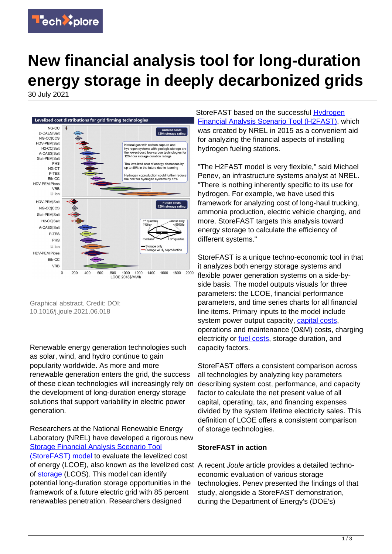

## **New financial analysis tool for long-duration energy storage in deeply decarbonized grids**

30 July 2021



Graphical abstract. Credit: DOI: 10.1016/j.joule.2021.06.018

Renewable energy generation technologies such as solar, wind, and hydro continue to gain popularity worldwide. As more and more renewable generation enters the grid, the success of these clean technologies will increasingly rely on the development of long-duration energy storage solutions that support variability in electric power generation.

Researchers at the National Renewable Energy Laboratory (NREL) have developed a rigorous new [Storage Financial Analysis Scenario Tool](https://www.nrel.gov/storage/storefast.html) [\(StoreFAST\)](https://www.nrel.gov/storage/storefast.html) [model](https://techxplore.com/tags/model/) to evaluate the levelized cost of energy (LCOE), also known as the levelized cost A recent Joule article provides a detailed technoof [storage](https://techxplore.com/tags/storage/) (LCOS). This model can identify potential long-duration storage opportunities in the framework of a future electric grid with 85 percent renewables penetration. Researchers designed

StoreFAST based on the successful [Hydrogen](https://www.nrel.gov/hydrogen/h2fast.html) [Financial Analysis Scenario Tool \(H2FAST\),](https://www.nrel.gov/hydrogen/h2fast.html) which was created by NREL in 2015 as a convenient aid for analyzing the financial aspects of installing hydrogen fueling stations.

"The H2FAST model is very flexible," said Michael Penev, an infrastructure systems analyst at NREL. "There is nothing inherently specific to its use for hydrogen. For example, we have used this framework for analyzing cost of long-haul trucking, ammonia production, electric vehicle charging, and more. StoreFAST targets this analysis toward energy storage to calculate the efficiency of different systems."

StoreFAST is a unique techno-economic tool in that it analyzes both energy storage systems and flexible power generation systems on a side-byside basis. The model outputs visuals for three parameters: the LCOE, financial performance parameters, and time series charts for all financial line items. Primary inputs to the model include system power output capacity, [capital costs](https://techxplore.com/tags/capital+costs/), operations and maintenance (O&M) costs, charging electricity or [fuel costs,](https://techxplore.com/tags/fuel+costs/) storage duration, and capacity factors.

StoreFAST offers a consistent comparison across all technologies by analyzing key parameters describing system cost, performance, and capacity factor to calculate the net present value of all capital, operating, tax, and financing expenses divided by the system lifetime electricity sales. This definition of LCOE offers a consistent comparison of storage technologies.

## **StoreFAST in action**

economic evaluation of various storage technologies. Penev presented the findings of that study, alongside a StoreFAST demonstration, during the Department of Energy's (DOE's)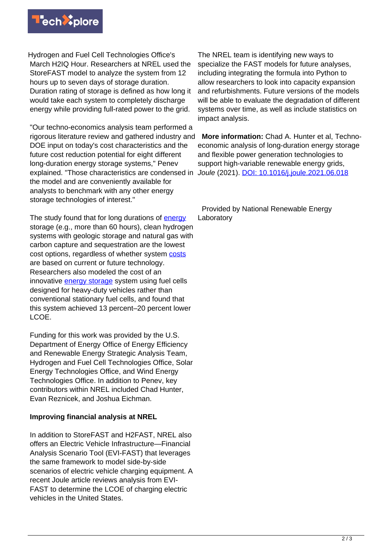

Hydrogen and Fuel Cell Technologies Office's March H2IQ Hour. Researchers at NREL used the StoreFAST model to analyze the system from 12 hours up to seven days of storage duration. Duration rating of storage is defined as how long it would take each system to completely discharge energy while providing full-rated power to the grid.

"Our techno-economics analysis team performed a rigorous literature review and gathered industry and DOE input on today's cost characteristics and the future cost reduction potential for eight different long-duration energy storage systems," Penev explained. "Those characteristics are condensed in Joule (2021). **[DOI: 10.1016/j.joule.2021.06.018](http://dx.doi.org/10.1016/j.joule.2021.06.018)** the model and are conveniently available for analysts to benchmark with any other energy storage technologies of interest."

The study found that for long durations of **[energy](https://techxplore.com/tags/energy/)** storage (e.g., more than 60 hours), clean hydrogen systems with geologic storage and natural gas with carbon capture and sequestration are the lowest cost options, regardless of whether system [costs](https://techxplore.com/tags/costs/) are based on current or future technology. Researchers also modeled the cost of an innovative [energy storage](https://techxplore.com/tags/energy+storage/) system using fuel cells designed for heavy-duty vehicles rather than conventional stationary fuel cells, and found that this system achieved 13 percent–20 percent lower LCOE.

Funding for this work was provided by the U.S. Department of Energy Office of Energy Efficiency and Renewable Energy Strategic Analysis Team, Hydrogen and Fuel Cell Technologies Office, Solar Energy Technologies Office, and Wind Energy Technologies Office. In addition to Penev, key contributors within NREL included Chad Hunter, Evan Reznicek, and Joshua Eichman.

## **Improving financial analysis at NREL**

In addition to StoreFAST and H2FAST, NREL also offers an Electric Vehicle Infrastructure—Financial Analysis Scenario Tool (EVI-FAST) that leverages the same framework to model side-by-side scenarios of electric vehicle charging equipment. A recent Joule article reviews analysis from EVI-FAST to determine the LCOE of charging electric vehicles in the United States.

The NREL team is identifying new ways to specialize the FAST models for future analyses, including integrating the formula into Python to allow researchers to look into capacity expansion and refurbishments. Future versions of the models will be able to evaluate the degradation of different systems over time, as well as include statistics on impact analysis.

 **More information:** Chad A. Hunter et al, Technoeconomic analysis of long-duration energy storage and flexible power generation technologies to support high-variable renewable energy grids,

 Provided by National Renewable Energy Laboratory